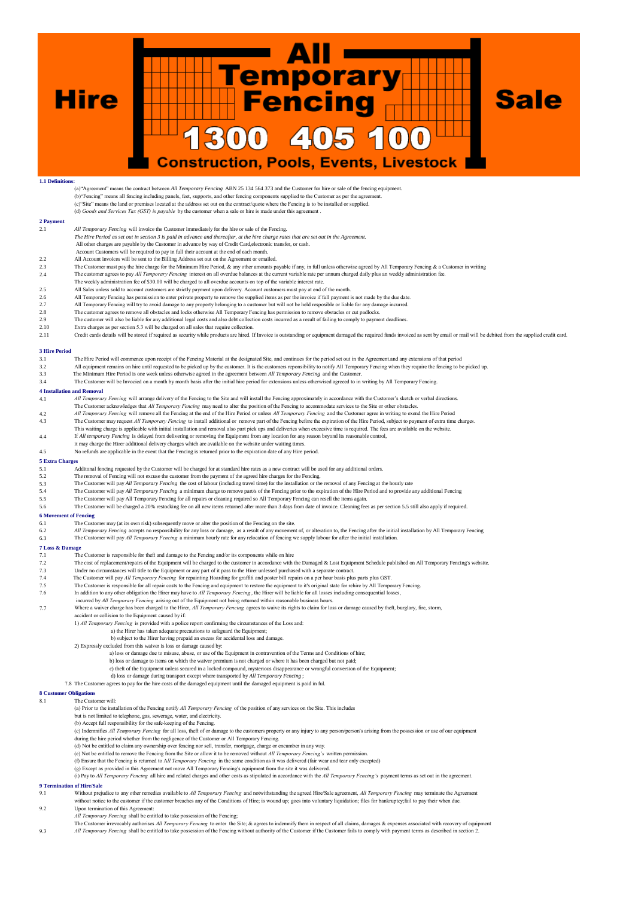**Hire** 



## **1.1 Definitions:**

(a)"Agreement" means the contract between *All Temporary Fencing* ABN 25 134 564 373 and the Customer for hire or sale of the fencing equipment. (b)"Fencing" means all fencing including panels, feet, supports, and other fencing components supplied to the Customer as per the agree (c) Site" means the land or premises located at the address set out on the contract/quote where the Fencing is to be installed or supplied. (d) *Goods and Services Tax (GST) is payable* by the customer when a sale or hire is made under this agreement . **2 Payment** 2.1 *All Temporary Fencing* will invoice the Customer immediately for the hire or sale of the Fencing. *The Hire Period as set out in section 3 is paid in advance and thereafter, at the hire charge rates that are set out in the Agreement.* All other charges are payable by the Customer in advance by way of Credit Card,electronic transfer, or cash. Account Customers will be required to pay in full their account at the end of each month. 2.2 All Account invoices will be sent to the Billing Address set out on the Agreement or emailed. 2.3 The Customer must pay the hire charge for the Minimum Hire Period, & any other amounts payable if any, in full unless otherwise agreed by All Temporary Fencing & a Customer in writing 2.4 The customer agrees to pay *Al* 2.4 The customer agrees to pay *All Temporary Fencing* interest on all overdue balances at the current variable rate per annum charged daily plus an weekly administration fee.<br>The weekly administration fee of \$30.00 will b 2.5 All Sales unless sold to account customers are strictly payment upon delivery. Account customers must pay at end of the month.<br>2.6 All Temporary Fencing has permission to enter private property to remove the supplied i 2.6 All Temporary Fencing has permission to enter private property to remove the supplied items as per the invoice if full payment is not made by the due date. 2.7 All Temporary Fencing will try to avoid damage to any property belonging to a customer but will not be held resposible or liable for any damage incurred. 2.8 The customer agrees to remove all obstacles and locks otherwise All Temporary Fencing has permission to remove obstacles or cut padlocks. The customer will also be liable for any additional legal costs and also debt collection costs incurred as a result of failing to comply to payment deadlines. 2.10 Extra charges as per section 5.3 will be charged on all sales that require collection<br>2.11 Credit cards details will be stored if required as security while products are hired. Credit cards details will be stored if required as security while products are hired. If Invoice is outstanding or equipment damaged the required funds invoiced as sent by email or mail will be debited from the supplied cr **3 Hire Period** 3.1 The Hire Period will commence upon receipt of the Fencing Material at the designated Site, and continues for the period set out in the Agreement and any extensions of that period<br>3.2 All equipment remains on hire until 3.2 All equipment remains on hire until requested to be picked up by the customer. It is the customers reponsibility to notify All Temporary Fencing when they require the fencing to be picked up<br>3.3 The Minimum Hire Period 3.4 The Customer will be Invocied on a month by month basis after the initial hire period for extensions unless otherwised agreeed to in writing by All Temporary Fencing. **4 Installation and Removal** 4.1 *All Temporary Fencing* will arrange delivery of the Fencing to the Site and will install the Fencing approximately in accordance with the Customer's sketch or verbal directions The Customer acknowledges that All Temporary Fencing may need to alter the position of the Fencing to accommodate services to the Site or other obstacles.<br>All Temporary Fencing will remove all the Fencing at the end of the 4.3 The Customer may request All Temporary Fencing to install additional or remove part of the Fencing before the expiration of the Hire Period, subject to payment of extra time charges.<br>This waiting charge is applicable w 4.4 If *All temporary Fencing* is delayed from delivering or removing the Equipment from any location for any reason beyond its reasonable control, it may charge the Hirer additional delivery charges which are available on the website under waiting times. 4.5 No refunds are applicable in the event that the Fencing is returned prior to the expiration date of any Hire period. **5 Extra Charges** 5.1 Additonal fencing requested by the Customer will be charged for at standard hire rates as a new contract will be used for any additional orders. 5.2 The removal of Fencing will not excuse the customer from the payment of the agreed hire charges for the Fencing.<br>5.3 The Customer will pay All Temporary Fencing the cost of labour (including travel time) for the instal 5.5 The Customer will pay *All Temporary Fencing* are minimum charge to remove part/s of the Fencing prior to the expiration of the Hire Period and to provide any additional Fencing<br>5.5 The Customer will pay *All Temporary* The Customer will pay All Temporary Fencing for all repairs or cleaning required so All Temporary Fencing can resell the items again. 5.6 The Customer will be charged a 20% restocking fee on all new items returned after more than 3 days from date of invoice. Cleaning fees as per section 5.5 still also apply if required. **6 Movement of Fencing**<br>**6.1** The Custo The Customer may (at its own risk) subsequently move or alter the position of the Fencing on the site. 6.2 *All Temporary Fencing* accepts no responsibility for any loss or damage, as a result of any movement of, or alteration to, the Fencing after the initial installation by All Temporary Fencing<br>6.3 The Customer will pay The Customer will pay *All Temporary Fencing* a minimum hourly rate for any relocation of fencing we supply labour for after the initial installation  $7 L$ <br> $7.1$ The Customer is responsible for theft and damage to the Fencing and/or its components while on hire 7.2 The cost of replacement/repairs of the Equipment will be charged to the customer in accordance with the Damaged & Lost Equipment Schedule published on All Temporary Fencing's website. 7.3 Under no circumstances will title to the Equipment or any part of it pass to the Hirer unlessed purchased with a separate contract.<br>7.4 The Customer will pay *All Temporary Fencing* for repainting Hoarding for graffiti 7.4 The Customer will pay *All Temporary Fencing* for repainting Hoarding for graffiti and poster bill repairs on a per hour basis plus parts plus GST. msible for all repair costs to the Fencing and equipment to restore the equipment to it's original state for rehire by All Temporary Fencing. 7.6 In addition to any other obligation the Hirer may have to *All Temporary Fencing* , the Hirer will be liable for all losses including consequential losses, incurred by *All Temporary Fencing* arising out of the Equipment not being returned within reasonable business hours.<br>7.7 Where a waiver charge has been charged to the Hirer, *All Temporary Fencing* agrees to waive its rig accident or collision to the Equipment caused by if:<br>1) *All Temporary Fencing* is provided with a police report confirming the circumstances of the Loss and: a) the Hirer has taken adequate precautions to safeguard the Equipment; b) subject to the Hirer having prepaid an excess for accidental loss and damage. 2) Expressly excluded from this waiver is loss or damage caused by: a) loss or damage due to misuse, abuse, or use of the Equipment in contravention of the Terms and Conditions of hire;<br>b) loss or damage to items on which the waiver premium is not charged or where it has been charged but n c) theft of the Equipment unless secured in a locked compound, mysterious disappearance or wrongful conversion of the Equipment; d) loss or damage during transport except where transported by *All Temporary Fencing* ; 7.8 The Customer agrees to pay for the hire costs of the damaged equipment until the damaged equipment is paid in ful. **8 Customer Obligations** 8.1 The Customer will: (a) Prior to the installation of the Fencing notify *All Temporary Fencing* of the position of any services on the Site. This includes but is not limited to telephone, gas, sewerage, water, and electricity. (b) Accept full responsibility for the safe-keeping of the Fencing. (c) Indemnifies *All Temporary Fencing* for all loss, theft of or damage to the customers property or any injury to any person/person's arising from the possession or use of our equipment during the hire period whether from the negligence of the Customer or All Temporary Fencing. (d) Not be entitled to claim any ownership over fencing nor sell, transfer, mortgage, charge or encumber in any way. (e) Not be entitled to remove the Fencing from the Site or allow it to be removed without *All Temporary Fencing's* written permission. (f) Ensure that the Fencing is returned to A*ll Temporary Fencing* in the same condition as it was delivered (fair wear and tear only excepted) (g) Except as provided in this Agreement not move All Temporary Fencing's equipment from the site it was delivered. (i) Pay to *All Temporary Fencing* all hire and related charges and other costs as stipulated in accordance with the *All Temporary Fencing's* payment terms as set out in the agreement. **9 Termination of Hire/Sale** 9.1 Without prejudice to any other remedies available to *All Temporary Fencing* and notwithstanding the agreed Hire/Sale agreement, *All Temporary Fencing* may terminate the Agreement without notice to the customer if the customer breaches any of the Conditions of Hire; is wound up; goes into voluntary liquidation; files for bankruptcy;fail to pay their when due 9.2 Upon termination of this Agreement: All Temporary Fencing shall be entitled to take possession of the Fencing;<br>The Customer irrevocably authorises All Temporary Fencing to enter the Site; & agrees to indemnify them in respect of all claims, damages & expense

9.3 *All Temporary Fencing* shall be entitled to take possession of the Fencing without authority of the Customer if the Customer fails to comply with payment terms as described in section 2.